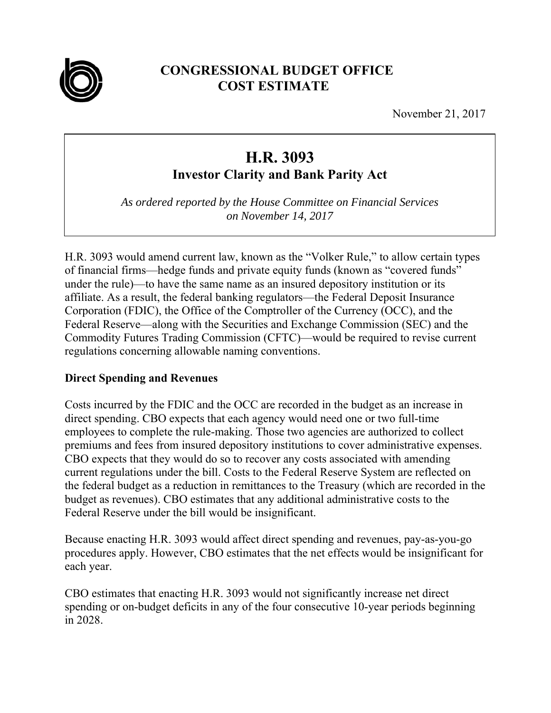

# **CONGRESSIONAL BUDGET OFFICE COST ESTIMATE**

November 21, 2017

# **H.R. 3093**

**Investor Clarity and Bank Parity Act** 

*As ordered reported by the House Committee on Financial Services on November 14, 2017* 

H.R. 3093 would amend current law, known as the "Volker Rule," to allow certain types of financial firms—hedge funds and private equity funds (known as "covered funds" under the rule)—to have the same name as an insured depository institution or its affiliate. As a result, the federal banking regulators—the Federal Deposit Insurance Corporation (FDIC), the Office of the Comptroller of the Currency (OCC), and the Federal Reserve—along with the Securities and Exchange Commission (SEC) and the Commodity Futures Trading Commission (CFTC)—would be required to revise current regulations concerning allowable naming conventions.

## **Direct Spending and Revenues**

Costs incurred by the FDIC and the OCC are recorded in the budget as an increase in direct spending. CBO expects that each agency would need one or two full-time employees to complete the rule-making. Those two agencies are authorized to collect premiums and fees from insured depository institutions to cover administrative expenses. CBO expects that they would do so to recover any costs associated with amending current regulations under the bill. Costs to the Federal Reserve System are reflected on the federal budget as a reduction in remittances to the Treasury (which are recorded in the budget as revenues). CBO estimates that any additional administrative costs to the Federal Reserve under the bill would be insignificant.

Because enacting H.R. 3093 would affect direct spending and revenues, pay-as-you-go procedures apply. However, CBO estimates that the net effects would be insignificant for each year.

CBO estimates that enacting H.R. 3093 would not significantly increase net direct spending or on-budget deficits in any of the four consecutive 10-year periods beginning in 2028.